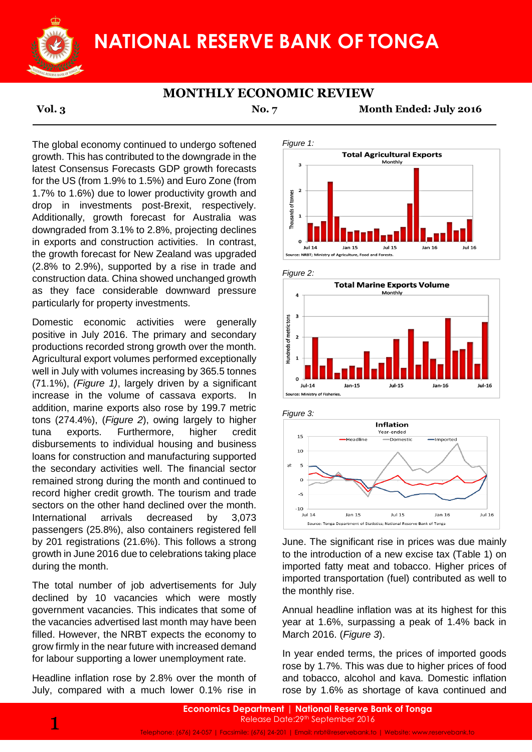

# **NATIONAL RESERVE BANK OF TONGA**

### **MONTHLY ECONOMIC REVIEW**

**Vol. 3 No. 7 Month Ended: July 2016**

The global economy continued to undergo softened growth. This has contributed to the downgrade in the latest Consensus Forecasts GDP growth forecasts for the US (from 1.9% to 1.5%) and Euro Zone (from 1.7% to 1.6%) due to lower productivity growth and drop in investments post-Brexit, respectively. Additionally, growth forecast for Australia was downgraded from 3.1% to 2.8%, projecting declines in exports and construction activities. In contrast, the growth forecast for New Zealand was upgraded (2.8% to 2.9%), supported by a rise in trade and construction data. China showed unchanged growth as they face considerable downward pressure particularly for property investments.

Domestic economic activities were generally positive in July 2016. The primary and secondary productions recorded strong growth over the month. Agricultural export volumes performed exceptionally well in July with volumes increasing by 365.5 tonnes (71.1%), *(Figure 1)*, largely driven by a significant increase in the volume of cassava exports. In addition, marine exports also rose by 199.7 metric tons (274.4%), (*Figure 2*), owing largely to higher tuna exports. Furthermore, higher credit disbursements to individual housing and business loans for construction and manufacturing supported the secondary activities well. The financial sector remained strong during the month and continued to record higher credit growth. The tourism and trade sectors on the other hand declined over the month. International arrivals decreased by 3,073 passengers (25.8%), also containers registered fell by 201 registrations (21.6%). This follows a strong growth in June 2016 due to celebrations taking place during the month.

The total number of job advertisements for July declined by 10 vacancies which were mostly government vacancies. This indicates that some of the vacancies advertised last month may have been filled. However, the NRBT expects the economy to grow firmly in the near future with increased demand for labour supporting a lower unemployment rate.

Headline inflation rose by 2.8% over the month of July, compared with a much lower 0.1% rise in











June. The significant rise in prices was due mainly to the introduction of a new excise tax (Table 1) on imported fatty meat and tobacco. Higher prices of imported transportation (fuel) contributed as well to the monthly rise.

Annual headline inflation was at its highest for this year at 1.6%, surpassing a peak of 1.4% back in March 2016. (*Figure 3*).

In year ended terms, the prices of imported goods rose by 1.7%. This was due to higher prices of food and tobacco, alcohol and kava. Domestic inflation rose by 1.6% as shortage of kava continued and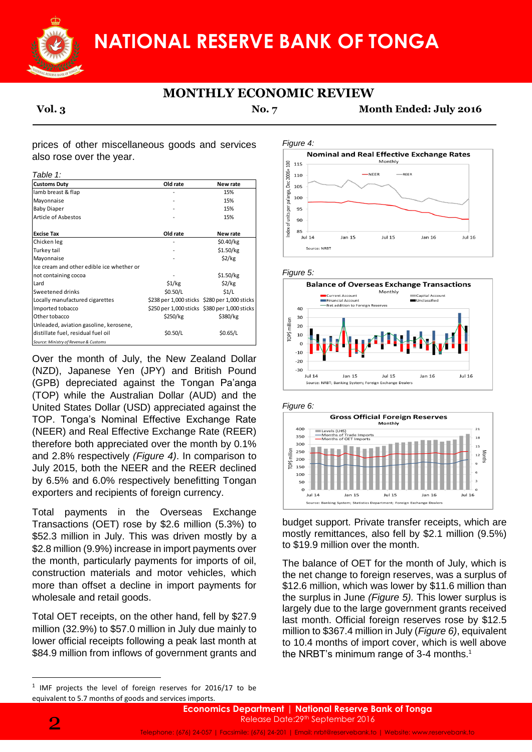**NATIONAL RESERVE BANK OF TONGA**

## **MONTHLY ECONOMIC REVIEW**

**Vol. 3 No. 7 Month Ended: July 2016**

prices of other miscellaneous goods and services also rose over the year.

*Table 1:*

| <b>Customs Duty</b>                       | Old rate | New rate                                      |
|-------------------------------------------|----------|-----------------------------------------------|
| lamb breast & flap                        |          | 15%                                           |
| Mayonnaise                                |          | 15%                                           |
| <b>Baby Diaper</b>                        |          | 15%                                           |
| Article of Asbestos                       |          | 15%                                           |
| <b>Excise Tax</b>                         | Old rate | New rate                                      |
| Chicken leg                               |          | \$0.40/kg                                     |
| Turkey tail                               |          | \$1.50/kg                                     |
| Mayonnaise                                |          | \$2/kg                                        |
| Ice cream and other edible ice whether or |          |                                               |
| not containing cocoa                      |          | \$1.50/kg                                     |
| Lard                                      | \$1/kg   | \$2/kg                                        |
| Sweetened drinks                          | \$0.50/L | \$1/L                                         |
| Locally manufactured cigarettes           |          | \$238 per 1,000 sticks \$280 per 1,000 sticks |
| Imported tobacco                          |          | \$250 per 1,000 sticks \$380 per 1,000 sticks |
| Other tobacco                             | \$250/kg | \$380/kg                                      |
| Unleaded, aviation gasoline, kerosene,    |          |                                               |
| distillate fuel, residual fuel oil        | \$0.50/L | \$0.65/L                                      |
| Source: Ministry of Revenue & Customs     |          |                                               |

Over the month of July, the New Zealand Dollar (NZD), Japanese Yen (JPY) and British Pound (GPB) depreciated against the Tongan Pa'anga (TOP) while the Australian Dollar (AUD) and the United States Dollar (USD) appreciated against the TOP. Tonga's Nominal Effective Exchange Rate (NEER) and Real Effective Exchange Rate (REER) therefore both appreciated over the month by 0.1% and 2.8% respectively *(Figure 4)*. In comparison to July 2015, both the NEER and the REER declined by 6.5% and 6.0% respectively benefitting Tongan exporters and recipients of foreign currency.

Total payments in the Overseas Exchange Transactions (OET) rose by \$2.6 million (5.3%) to \$52.3 million in July. This was driven mostly by a \$2.8 million (9.9%) increase in import payments over the month, particularly payments for imports of oil, construction materials and motor vehicles, which more than offset a decline in import payments for wholesale and retail goods.

Total OET receipts, on the other hand, fell by \$27.9 million (32.9%) to \$57.0 million in July due mainly to lower official receipts following a peak last month at \$84.9 million from inflows of government grants and

*Figure 4:* **Nominal and Real Effective Exchange Rates** Monthly  $\frac{8}{2}$  115 2006=  $NFFR$  $RFFR$ 110 Dec 105 pa'anga, I 100  $\overline{5}$ 95 ndex of units 90 85  $Jul$  14  $Jan<sub>15</sub>$ **Jul 15** Jan  $16$  $Jul16$ Source: NRB









budget support. Private transfer receipts, which are mostly remittances, also fell by \$2.1 million (9.5%) to \$19.9 million over the month.

The balance of OET for the month of July, which is the net change to foreign reserves, was a surplus of \$12.6 million, which was lower by \$11.6 million than the surplus in June *(Figure 5).* This lower surplus is largely due to the large government grants received last month. Official foreign reserves rose by \$12.5 million to \$367.4 million in July (*Figure 6)*, equivalent to 10.4 months of import cover, which is well above the NRBT's minimum range of 3-4 months. $1$ 

**.** 

Telephone: (676) 24-057 | Facsimile: (676) 24-201 | Email: nrbt@reservebank.to | Website: www.reservebank.to

 $1$  IMF projects the level of foreign reserves for 2016/17 to be equivalent to 5.7 months of goods and services imports.